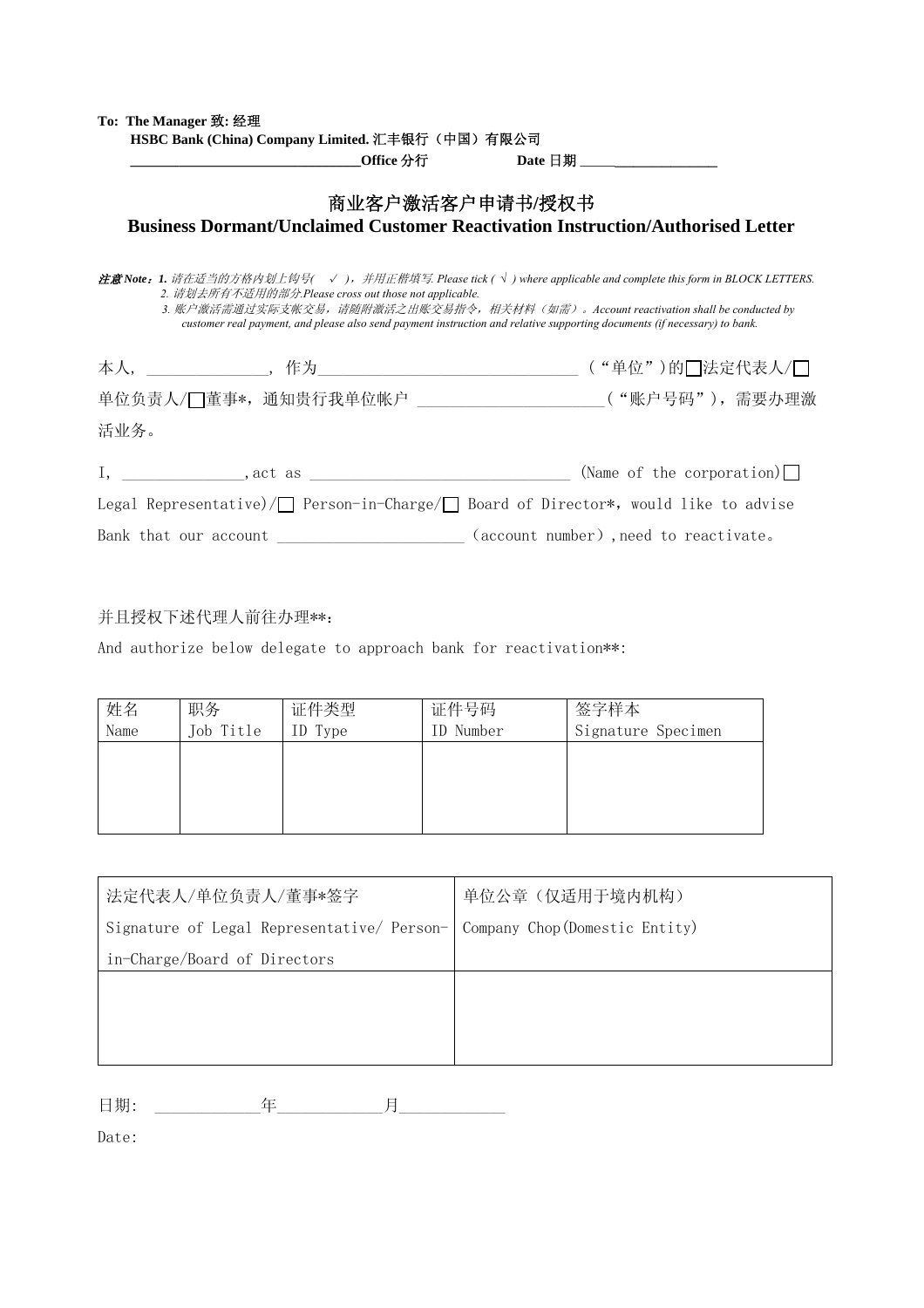| To: The Manager 致: 经理                                 |                 |                                                                                                                                                                                                                                                                                                                                                    |
|-------------------------------------------------------|-----------------|----------------------------------------------------------------------------------------------------------------------------------------------------------------------------------------------------------------------------------------------------------------------------------------------------------------------------------------------------|
| HSBC Bank (China) Company Limited. 汇丰银行(中国)有限公司       |                 |                                                                                                                                                                                                                                                                                                                                                    |
|                                                       | 商业客户激活客户申请书/授权书 |                                                                                                                                                                                                                                                                                                                                                    |
|                                                       |                 | <b>Business Dormant/Unclaimed Customer Reactivation Instruction/Authorised Letter</b>                                                                                                                                                                                                                                                              |
| 2. 请划去所有不适用的部分.Please cross out those not applicable. |                 | <b>注意 Note : 1.</b> 请在适当的方格内划上钩号( √),并用正楷填写. Please tick ( $\sqrt{}$ ) where applicable and complete this form in BLOCK LETTERS.<br>3. 账户激活需通过实际支帐交易,请随附激活之出账交易指令,相关材料(如需)。Account reactivation shall be conducted by<br>customer real payment, and please also send payment instruction and relative supporting documents (if necessary) to bank. |
|                                                       |                 |                                                                                                                                                                                                                                                                                                                                                    |
|                                                       |                 | 单位负责人/□董事*, 通知贵行我单位帐户 ________________________("账户号码"), 需要办理激                                                                                                                                                                                                                                                                                      |
| 活业务。                                                  |                 |                                                                                                                                                                                                                                                                                                                                                    |
|                                                       |                 | I, ______________, act as ______________________________(Name of the corporation)                                                                                                                                                                                                                                                                  |
|                                                       |                 | Legal Representative)/ Person-in-Charge/ Board of Director*, would like to advise                                                                                                                                                                                                                                                                  |

## 并且授权下述代理人前往办理\*\*:

And authorize below delegate to approach bank for reactivation\*\*:

| 姓名<br>Name | 职务<br>Job Title | 证件类型<br>ID Type | 证件号码<br>ID Number | 签字样本<br>Signature Specimen |
|------------|-----------------|-----------------|-------------------|----------------------------|
|            |                 |                 |                   |                            |
|            |                 |                 |                   |                            |
|            |                 |                 |                   |                            |

Bank that our account \_\_\_\_\_\_\_\_\_\_\_\_\_\_\_\_\_\_\_(account number),need to reactivate.

| 法定代表人/单位负责人/董事*签字                                                         | 单位公章(仅适用于境内机构) |
|---------------------------------------------------------------------------|----------------|
| Signature of Legal Representative/ Person- Company Chop (Domestic Entity) |                |
| in-Charge/Board of Directors                                              |                |
|                                                                           |                |
|                                                                           |                |
|                                                                           |                |

日期: \_\_\_\_\_\_\_\_\_\_\_\_\_年\_\_\_\_\_\_\_\_\_\_\_\_\_月\_\_\_\_\_\_\_\_\_\_\_\_\_

Date: